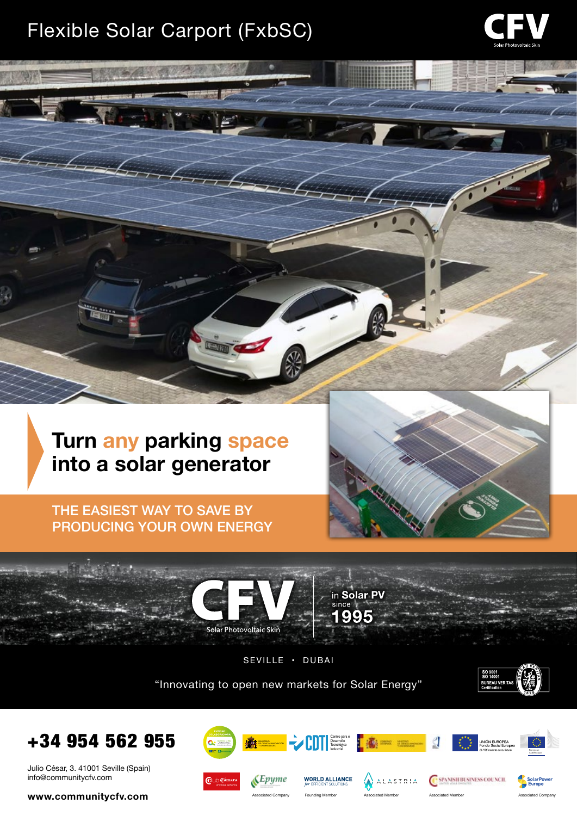## Flexible Solar Carport (FxbSC)

 $\sqrt{2}$ 



THE EASIEST WAY TO SAVE BY PRODUCING YOUR OWN ENERGY





SEVILLE • DUBAI

"Innovating to open new markets for Solar Energy"





Julio César, 3. 41001 Seville (Spain) info@communitycfv.com

**www.communitycfv.com**